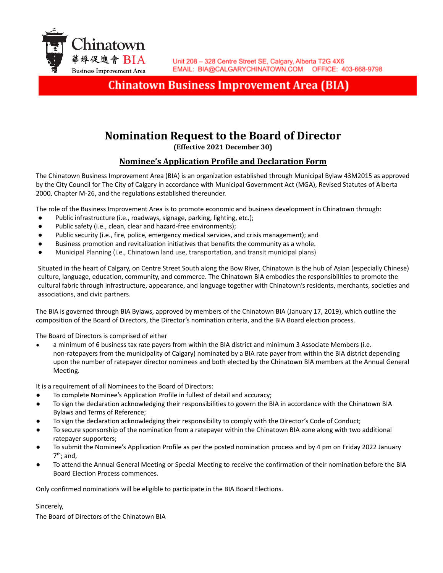

# **Chinatown Business Improvement Area (BIA)**

# **Nomination Request to the Board of Director**

**(Effective 2021 December 30)**

## **Nominee's Application Profile and Declaration Form**

The Chinatown Business Improvement Area (BIA) is an organization established through Municipal Bylaw 43M2015 as approved by the City Council for The City of Calgary in accordance with Municipal Government Act (MGA), Revised Statutes of Alberta 2000, Chapter M-26, and the regulations established thereunder.

The role of the Business Improvement Area is to promote economic and business development in Chinatown through:

- Public infrastructure (i.e., roadways, signage, parking, lighting, etc.);
- Public safety (i.e., clean, clear and hazard-free environments);
- Public security (i.e., fire, police, emergency medical services, and crisis management); and
- Business promotion and revitalization initiatives that benefits the community as a whole.
- Municipal Planning (i.e., Chinatown land use, transportation, and transit municipal plans)

Situated in the heart of Calgary, on Centre Street South along the Bow River, Chinatown is the hub of Asian (especially Chinese) culture, language, education, community, and commerce. The Chinatown BIA embodies the responsibilities to promote the cultural fabric through infrastructure, appearance, and language together with Chinatown's residents, merchants, societies and associations, and civic partners.

The BIA is governed through BIA Bylaws, approved by members of the Chinatown BIA (January 17, 2019), which outline the composition of the Board of Directors, the Director's nomination criteria, and the BIA Board election process.

The Board of Directors is comprised of either

a minimum of 6 business tax rate payers from within the BIA district and minimum 3 Associate Members (i.e. non-ratepayers from the municipality of Calgary) nominated by a BIA rate payer from within the BIA district depending upon the number of ratepayer director nominees and both elected by the Chinatown BIA members at the Annual General Meeting.

It is a requirement of all Nominees to the Board of Directors:

- To complete Nominee's Application Profile in fullest of detail and accuracy;
- To sign the declaration acknowledging their responsibilities to govern the BIA in accordance with the Chinatown BIA Bylaws and Terms of Reference;
- To sign the declaration acknowledging their responsibility to comply with the Director's Code of Conduct;
- To secure sponsorship of the nomination from a ratepayer within the Chinatown BIA zone along with two additional ratepayer supporters;
- To submit the Nominee's Application Profile as per the posted nomination process and by 4 pm on Friday 2022 January 7 th; and,
- To attend the Annual General Meeting or Special Meeting to receive the confirmation of their nomination before the BIA Board Election Process commences.

Only confirmed nominations will be eligible to participate in the BIA Board Elections.

Sincerely,

The Board of Directors of the Chinatown BIA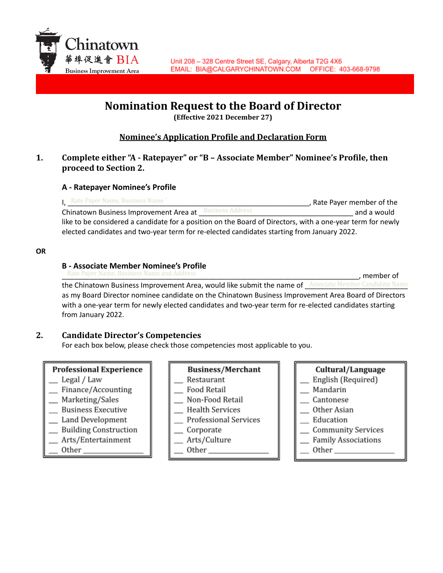

# **Nomination Request to the Board of Director**

**(Effective 2021 December 27)**

# **Nominee's Application Profile and Declaration Form**

### **1. Complete either "A - Ratepayer" or "B – Associate Member" Nominee's Profile, then proceed to Section 2.**

#### **A - Ratepayer Nominee's Profile**

I, Rate Payer Name, Business Name Contract the Case of the Cayer member of the Cayer member of the Chinatown Business Improvement Area at Business Address **Chinatown Business Improvement Area** at 2016. like to be considered a candidate for a position on the Board of Directors, with a one-year term for newly elected candidates and two-year term for re-elected candidates starting from January 2022.

#### **OR**

#### **B - Associate Member Nominee's Profile**

Rate Payer Name, Business Name and Address **Equal to the Contract of the Contract of Contract of Contract of Contract of Contract of Contract of Contract of Contract of Contract of Contract of Contract of Contract of Contr** 

the Chinatown Business Improvement Area, would like submit the name of Associate Member Candidate Name as my Board Director nominee candidate on the Chinatown Business Improvement Area Board of Directors with a one-year term for newly elected candidates and two-year term for re-elected candidates starting from January 2022.

### **2. Candidate Director's Competencies**

For each box below, please check those competencies most applicable to you.

#### **Professional Experience**

- Legal / Law
- $\equiv$  Finance/Accounting
- \_ Marketing/Sales
- **Business Executive**
- Land Development
- \_ Building Construction
- Arts/Entertainment
- Other\_

#### **Business/Merchant**

- Restaurant
- Food Retail
- Non-Food Retail
- **Health Services**
- Professional Services
- \_ Corporate
- Arts/Culture
	- Other\_

# Cultural/Language English (Required) Mandarin

- Cantonese
- Other Asian
- Education
- \_ Community Services
- **Family Associations**
- Other\_\_\_\_\_\_\_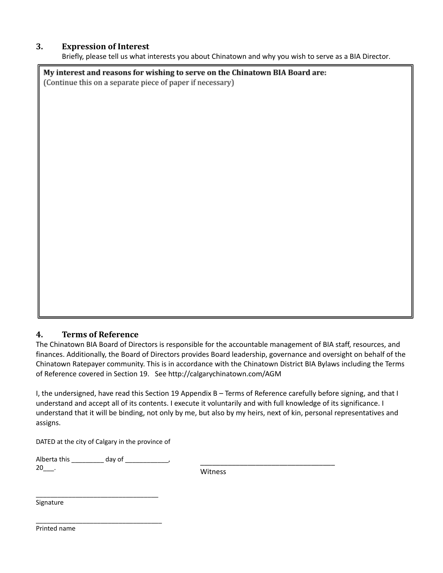#### **3. Expression of Interest**

Briefly, please tell us what interests you about Chinatown and why you wish to serve as a BIA Director.

My interest and reasons for wishing to serve on the Chinatown BIA Board are: (Continue this on a separate piece of paper if necessary)

### **4. Terms of Reference**

The Chinatown BIA Board of Directors is responsible for the accountable management of BIA staff, resources, and finances. Additionally, the Board of Directors provides Board leadership, governance and oversight on behalf of the Chinatown Ratepayer community. This is in accordance with the Chinatown District BIA Bylaws including the Terms of Reference covered in Section 19. See http://calgarychinatown.com/AGM

I, the undersigned, have read this Section 19 Appendix B – Terms of Reference carefully before signing, and that I understand and accept all of its contents. I execute it voluntarily and with full knowledge of its significance. I understand that it will be binding, not only by me, but also by my heirs, next of kin, personal representatives and assigns.

DATED at the city of Calgary in the province of

| Alberta this | day of |
|--------------|--------|
| 20           |        |

\_\_\_\_\_\_\_\_\_\_\_\_\_\_\_\_\_\_\_\_\_\_\_\_\_\_\_\_\_\_\_\_\_\_

\_\_\_\_\_\_\_\_\_\_\_\_\_\_\_\_\_\_\_\_\_\_\_\_\_\_\_\_\_\_\_\_\_\_\_

Witness

\_\_\_\_\_\_\_\_\_\_\_\_\_\_\_\_\_\_\_\_\_\_\_\_\_\_\_\_\_\_\_\_\_\_

Signature

Printed name